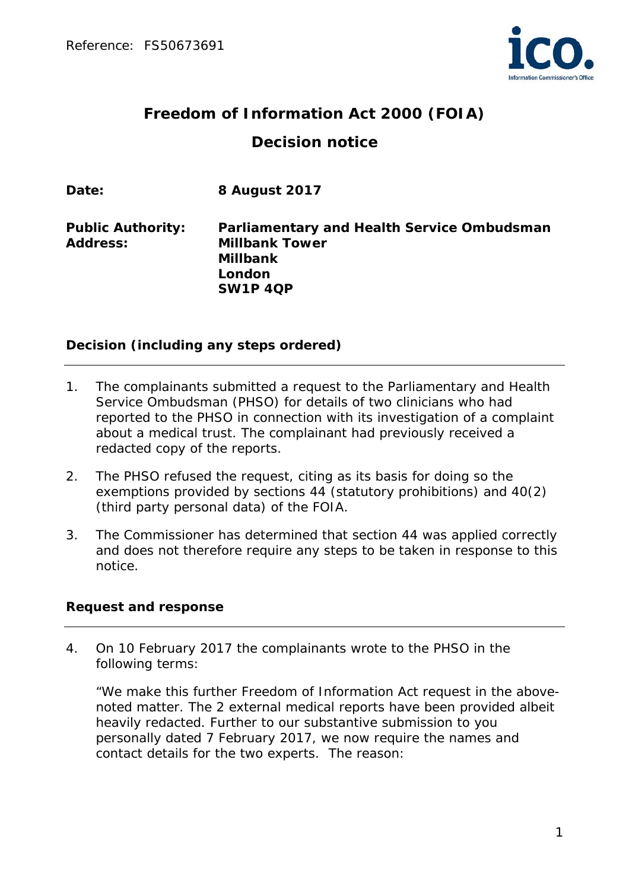

# **Freedom of Information Act 2000 (FOIA) Decision notice**

| Date:                                       | 8 August 2017                                                                                                       |
|---------------------------------------------|---------------------------------------------------------------------------------------------------------------------|
| <b>Public Authority:</b><br><b>Address:</b> | Parliamentary and Health Service Ombudsman<br><b>Millbank Tower</b><br><b>Millbank</b><br>London<br><b>SW1P 4QP</b> |

## **Decision (including any steps ordered)**

- 1. The complainants submitted a request to the Parliamentary and Health Service Ombudsman (PHSO) for details of two clinicians who had reported to the PHSO in connection with its investigation of a complaint about a medical trust. The complainant had previously received a redacted copy of the reports.
- 2. The PHSO refused the request, citing as its basis for doing so the exemptions provided by sections 44 (statutory prohibitions) and 40(2) (third party personal data) of the FOIA.
- 3. The Commissioner has determined that section 44 was applied correctly and does not therefore require any steps to be taken in response to this notice.

## **Request and response**

4. On 10 February 2017 the complainants wrote to the PHSO in the following terms:

*"We make this further Freedom of Information Act request in the abovenoted matter. The 2 external medical reports have been provided albeit heavily redacted. Further to our substantive submission to you personally dated 7 February 2017, we now require the names and contact details for the two experts. The reason:*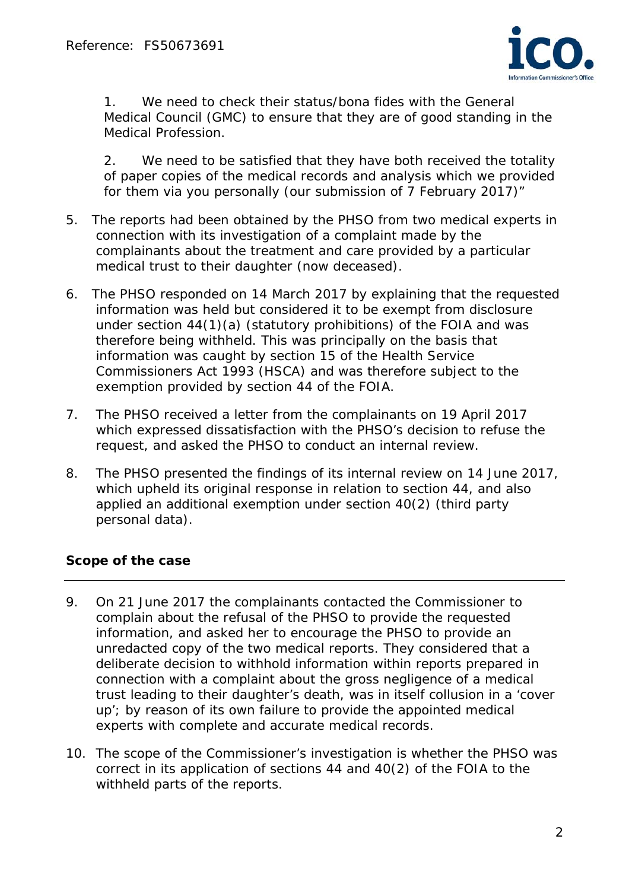

*1. We need to check their status/bona fides with the General Medical Council (GMC) to ensure that they are of good standing in the Medical Profession.* 

*2. We need to be satisfied that they have both received the totality of paper copies of the medical records and analysis which we provided for them via you personally (our submission of 7 February 2017)"* 

- 5. The reports had been obtained by the PHSO from two medical experts in connection with its investigation of a complaint made by the complainants about the treatment and care provided by a particular medical trust to their daughter (now deceased).
- 6. The PHSO responded on 14 March 2017 by explaining that the requested information was held but considered it to be exempt from disclosure under section 44(1)(a) (statutory prohibitions) of the FOIA and was therefore being withheld. This was principally on the basis that information was caught by section 15 of the Health Service Commissioners Act 1993 (HSCA) and was therefore subject to the exemption provided by section 44 of the FOIA.
- 7. The PHSO received a letter from the complainants on 19 April 2017 which expressed dissatisfaction with the PHSO's decision to refuse the request, and asked the PHSO to conduct an internal review.
- 8. The PHSO presented the findings of its internal review on 14 June 2017, which upheld its original response in relation to section 44, and also applied an additional exemption under section 40(2) (third party personal data).

# **Scope of the case**

- 9. On 21 June 2017 the complainants contacted the Commissioner to complain about the refusal of the PHSO to provide the requested information, and asked her to encourage the PHSO to provide an unredacted copy of the two medical reports. They considered that a deliberate decision to withhold information within reports prepared in connection with a complaint about the gross negligence of a medical trust leading to their daughter's death, was in itself collusion in a 'cover up'; by reason of its own failure to provide the appointed medical experts with complete and accurate medical records.
- 10. The scope of the Commissioner's investigation is whether the PHSO was correct in its application of sections 44 and 40(2) of the FOIA to the withheld parts of the reports.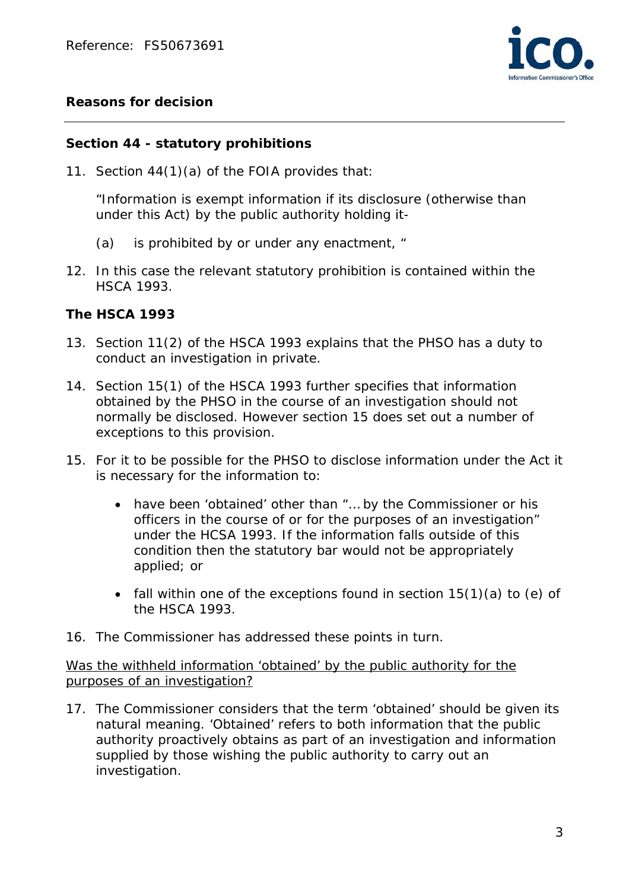

## **Reasons for decision**

#### **Section 44 - statutory prohibitions**

11. Section 44(1)(a) of the FOIA provides that:

"Information is exempt information if its disclosure (otherwise than under this Act) by the public authority holding it-

- (a) is prohibited by or under any enactment, "
- 12. In this case the relevant statutory prohibition is contained within the HSCA 1993.

#### **The HSCA 1993**

- 13. Section 11(2) of the HSCA 1993 explains that the PHSO has a duty to conduct an investigation in private.
- 14. Section 15(1) of the HSCA 1993 further specifies that information obtained by the PHSO in the course of an investigation should not normally be disclosed. However section 15 does set out a number of exceptions to this provision.
- 15. For it to be possible for the PHSO to disclose information under the Act it is necessary for the information to:
	- have been 'obtained' other than "… by the Commissioner or his officers in the course of or for the purposes of an investigation" under the HCSA 1993. If the information falls outside of this condition then the statutory bar would not be appropriately applied; or
	- fall within one of the exceptions found in section  $15(1)(a)$  to (e) of the HSCA 1993.
- 16. The Commissioner has addressed these points in turn.

Was the withheld information 'obtained' by the public authority for the purposes of an investigation?

17. The Commissioner considers that the term 'obtained' should be given its natural meaning. 'Obtained' refers to both information that the public authority proactively obtains as part of an investigation and information supplied by those wishing the public authority to carry out an investigation.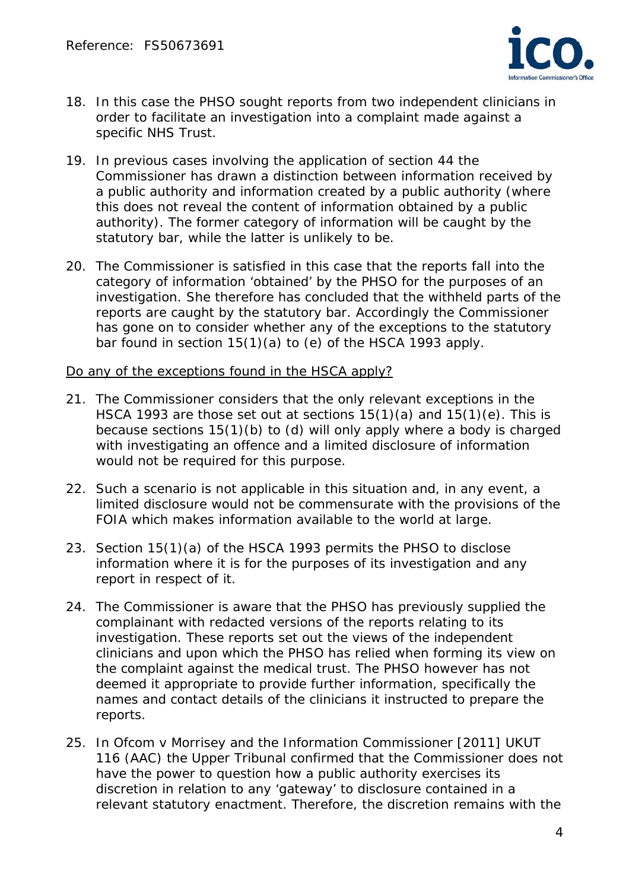

- 18. In this case the PHSO sought reports from two independent clinicians in order to facilitate an investigation into a complaint made against a specific NHS Trust.
- 19. In previous cases involving the application of section 44 the Commissioner has drawn a distinction between information received by a public authority and information created by a public authority (where this does not reveal the content of information obtained by a public authority). The former category of information will be caught by the statutory bar, while the latter is unlikely to be.
- 20. The Commissioner is satisfied in this case that the reports fall into the category of information 'obtained' by the PHSO for the purposes of an investigation. She therefore has concluded that the withheld parts of the reports are caught by the statutory bar. Accordingly the Commissioner has gone on to consider whether any of the exceptions to the statutory bar found in section 15(1)(a) to (e) of the HSCA 1993 apply.

#### Do any of the exceptions found in the HSCA apply?

- 21. The Commissioner considers that the only relevant exceptions in the HSCA 1993 are those set out at sections 15(1)(a) and 15(1)(e). This is because sections 15(1)(b) to (d) will only apply where a body is charged with investigating an offence and a limited disclosure of information would not be required for this purpose.
- 22. Such a scenario is not applicable in this situation and, in any event, a limited disclosure would not be commensurate with the provisions of the FOIA which makes information available to the world at large.
- 23. Section 15(1)(a) of the HSCA 1993 permits the PHSO to disclose information where it is for the purposes of its investigation and any report in respect of it.
- 24. The Commissioner is aware that the PHSO has previously supplied the complainant with redacted versions of the reports relating to its investigation. These reports set out the views of the independent clinicians and upon which the PHSO has relied when forming its view on the complaint against the medical trust. The PHSO however has not deemed it appropriate to provide further information, specifically the names and contact details of the clinicians it instructed to prepare the reports.
- 25. In *Ofcom v Morrisey and the Information Commissioner* [2011] UKUT 116 (AAC) the Upper Tribunal confirmed that the Commissioner does not have the power to question how a public authority exercises its discretion in relation to any 'gateway' to disclosure contained in a relevant statutory enactment. Therefore, the discretion remains with the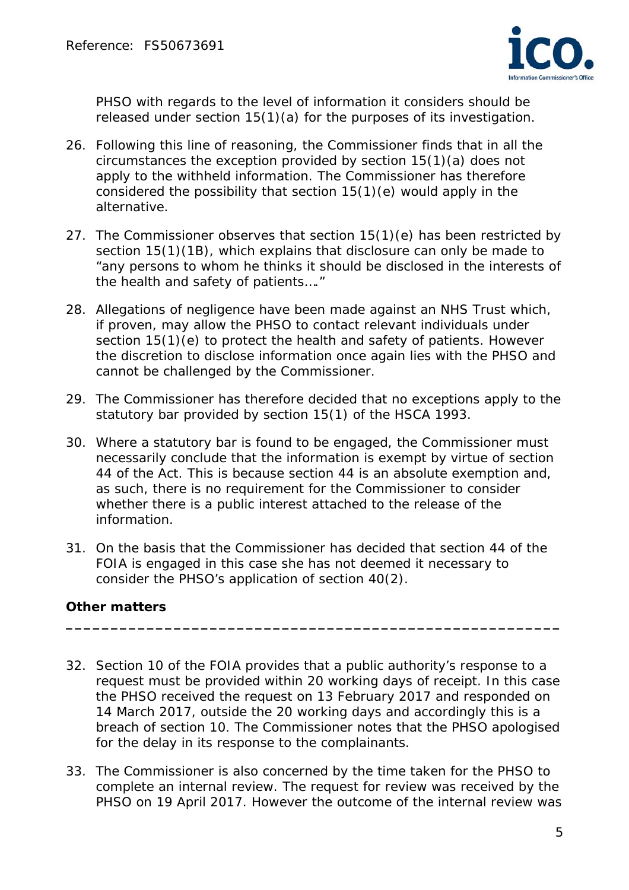

PHSO with regards to the level of information it considers should be released under section 15(1)(a) for the purposes of its investigation.

- 26. Following this line of reasoning, the Commissioner finds that in all the circumstances the exception provided by section 15(1)(a) does not apply to the withheld information. The Commissioner has therefore considered the possibility that section 15(1)(e) would apply in the alternative.
- 27. The Commissioner observes that section 15(1)(e) has been restricted by section 15(1)(1B), which explains that disclosure can only be made to "*any persons to whom he thinks it should be disclosed in the interests of the health and safety of patients…."*
- 28. Allegations of negligence have been made against an NHS Trust which, if proven, may allow the PHSO to contact relevant individuals under section 15(1)(e) to protect the health and safety of patients. However the discretion to disclose information once again lies with the PHSO and cannot be challenged by the Commissioner.
- 29. The Commissioner has therefore decided that no exceptions apply to the statutory bar provided by section 15(1) of the HSCA 1993.
- 30. Where a statutory bar is found to be engaged, the Commissioner must necessarily conclude that the information is exempt by virtue of section 44 of the Act. This is because section 44 is an absolute exemption and, as such, there is no requirement for the Commissioner to consider whether there is a public interest attached to the release of the information.
- 31. On the basis that the Commissioner has decided that section 44 of the FOIA is engaged in this case she has not deemed it necessary to consider the PHSO's application of section 40(2).

# **Other matters**

32. Section 10 of the FOIA provides that a public authority's response to a request must be provided within 20 working days of receipt. In this case the PHSO received the request on 13 February 2017 and responded on 14 March 2017, outside the 20 working days and accordingly this is a breach of section 10. The Commissioner notes that the PHSO apologised for the delay in its response to the complainants.

**\_\_\_\_\_\_\_\_\_\_\_\_\_\_\_\_\_\_\_\_\_\_\_\_\_\_\_\_\_\_\_\_\_\_\_\_\_\_\_\_\_\_\_\_\_\_\_\_\_\_\_\_\_\_\_** 

33. The Commissioner is also concerned by the time taken for the PHSO to complete an internal review. The request for review was received by the PHSO on 19 April 2017. However the outcome of the internal review was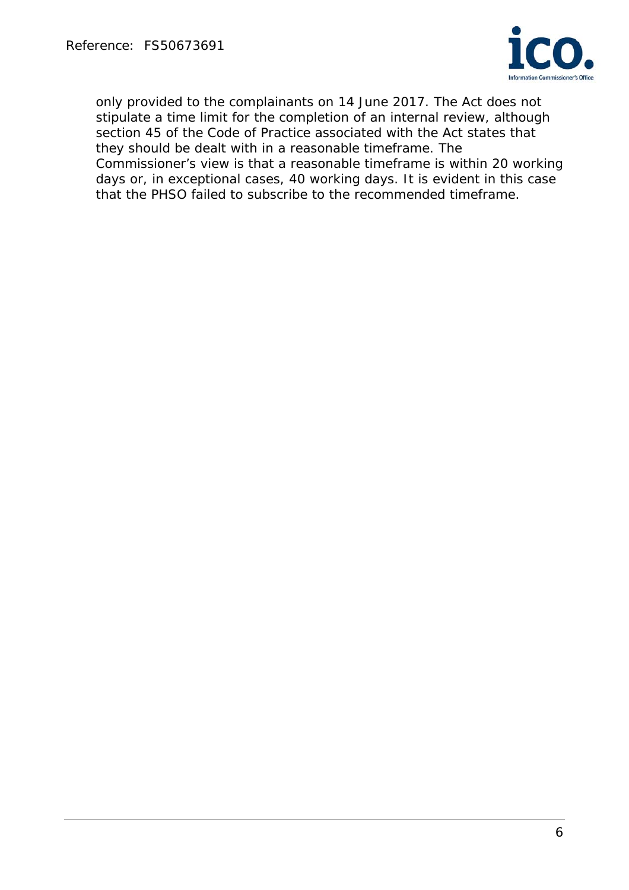

only provided to the complainants on 14 June 2017. The Act does not stipulate a time limit for the completion of an internal review, although section 45 of the Code of Practice associated with the Act states that they should be dealt with in a reasonable timeframe. The Commissioner's view is that a reasonable timeframe is within 20 working days or, in exceptional cases, 40 working days. It is evident in this case that the PHSO failed to subscribe to the recommended timeframe.